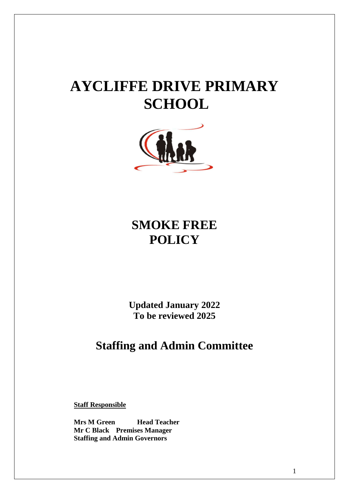# **AYCLIFFE DRIVE PRIMARY SCHOOL**



## **SMOKE FREE POLICY**

**Updated January 2022 To be reviewed 2025**

### **Staffing and Admin Committee**

**Staff Responsible**

**Mrs M Green Head Teacher Mr C Black Premises Manager Staffing and Admin Governors**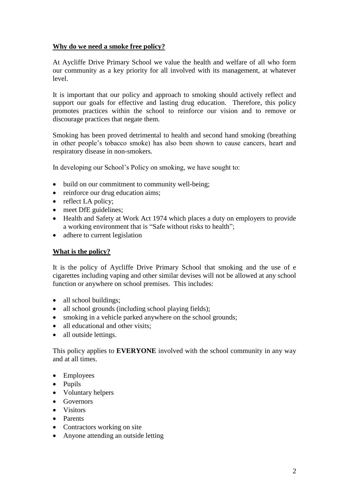#### **Why do we need a smoke free policy?**

At Aycliffe Drive Primary School we value the health and welfare of all who form our community as a key priority for all involved with its management, at whatever level.

It is important that our policy and approach to smoking should actively reflect and support our goals for effective and lasting drug education. Therefore, this policy promotes practices within the school to reinforce our vision and to remove or discourage practices that negate them.

Smoking has been proved detrimental to health and second hand smoking (breathing in other people's tobacco smoke) has also been shown to cause cancers, heart and respiratory disease in non-smokers.

In developing our School's Policy on smoking, we have sought to:

- build on our commitment to community well-being;
- reinforce our drug education aims;
- reflect LA policy;
- meet DfE guidelines:
- Health and Safety at Work Act 1974 which places a duty on employers to provide a working environment that is "Safe without risks to health";
- adhere to current legislation

#### **What is the policy?**

It is the policy of Aycliffe Drive Primary School that smoking and the use of e cigarettes including vaping and other similar devises will not be allowed at any school function or anywhere on school premises. This includes:

- all school buildings:
- all school grounds (including school playing fields);
- smoking in a vehicle parked anywhere on the school grounds:
- all educational and other visits:
- all outside lettings.

This policy applies to **EVERYONE** involved with the school community in any way and at all times.

- Employees
- Pupils
- Voluntary helpers
- Governors
- **Uisitors**
- Parents
- Contractors working on site
- Anyone attending an outside letting